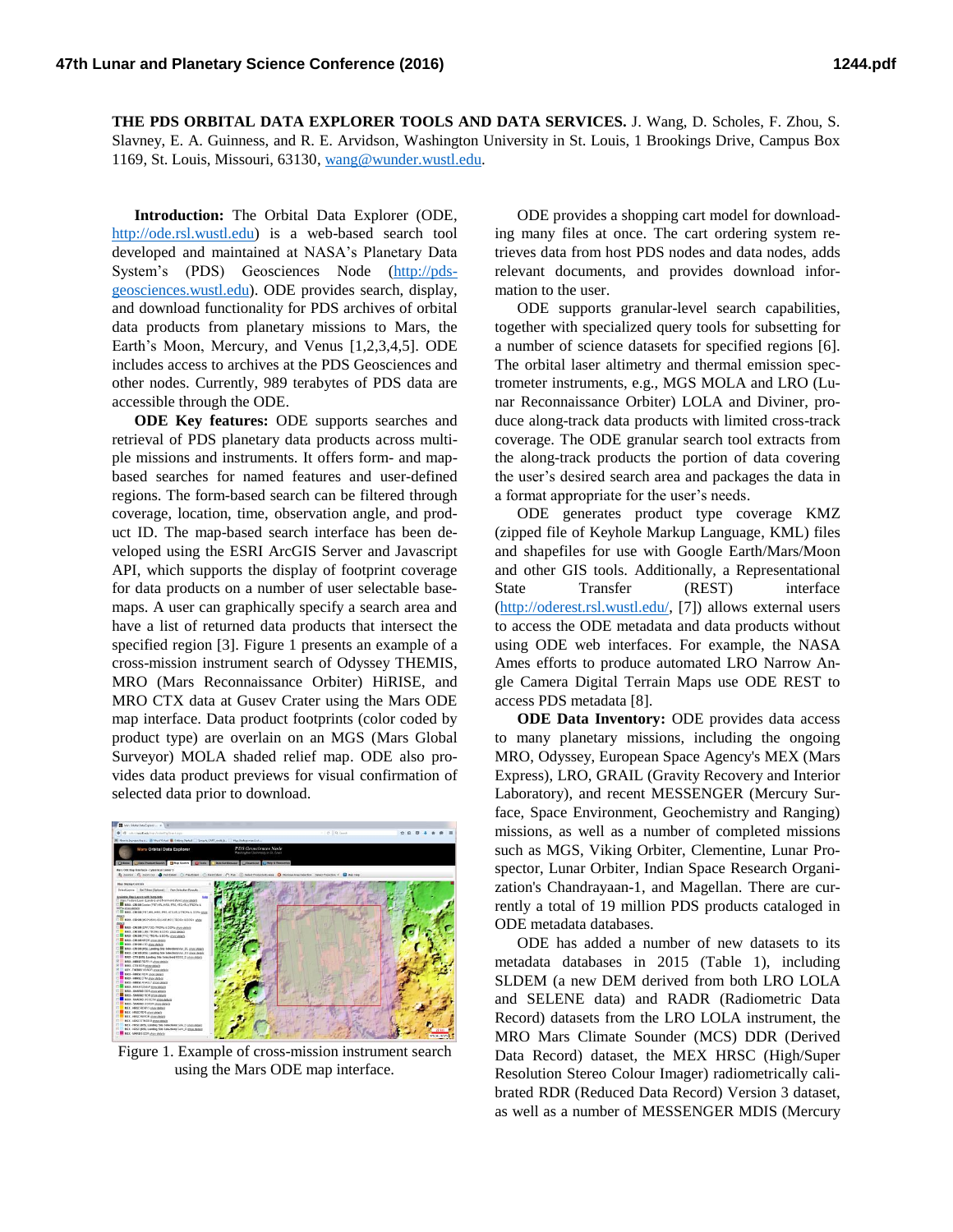**THE PDS ORBITAL DATA EXPLORER TOOLS AND DATA SERVICES.** J. Wang, D. Scholes, F. Zhou, S. Slavney, E. A. Guinness, and R. E. Arvidson, Washington University in St. Louis, 1 Brookings Drive, Campus Box 1169, St. Louis, Missouri, 63130, [wang@wunder.wustl.edu.](mailto:wang@wunder.wustl.edu)

**Introduction:** The Orbital Data Explorer (ODE, [http://ode.rsl.wustl.edu\)](http://ode.rsl.wustl.edu/) is a web-based search tool developed and maintained at NASA's Planetary Data System's (PDS) Geosciences Node [\(http://pds](http://pds-geosciences.wustl.edu/)[geosciences.wustl.edu\)](http://pds-geosciences.wustl.edu/). ODE provides search, display, and download functionality for PDS archives of orbital data products from planetary missions to Mars, the Earth's Moon, Mercury, and Venus [1,2,3,4,5]. ODE includes access to archives at the PDS Geosciences and other nodes. Currently, 989 terabytes of PDS data are accessible through the ODE.

**ODE Key features:** ODE supports searches and retrieval of PDS planetary data products across multiple missions and instruments. It offers form- and mapbased searches for named features and user-defined regions. The form-based search can be filtered through coverage, location, time, observation angle, and product ID. The map-based search interface has been developed using the ESRI ArcGIS Server and Javascript API, which supports the display of footprint coverage for data products on a number of user selectable basemaps. A user can graphically specify a search area and have a list of returned data products that intersect the specified region [3]. Figure 1 presents an example of a cross-mission instrument search of Odyssey THEMIS, MRO (Mars Reconnaissance Orbiter) HiRISE, and MRO CTX data at Gusev Crater using the Mars ODE map interface. Data product footprints (color coded by product type) are overlain on an MGS (Mars Global Surveyor) MOLA shaded relief map. ODE also provides data product previews for visual confirmation of selected data prior to download.



Figure 1. Example of cross-mission instrument search using the Mars ODE map interface.

ODE provides a shopping cart model for downloading many files at once. The cart ordering system retrieves data from host PDS nodes and data nodes, adds relevant documents, and provides download information to the user.

ODE supports granular-level search capabilities, together with specialized query tools for subsetting for a number of science datasets for specified regions [6]. The orbital laser altimetry and thermal emission spectrometer instruments, e.g., MGS MOLA and LRO (Lunar Reconnaissance Orbiter) LOLA and Diviner, produce along-track data products with limited cross-track coverage. The ODE granular search tool extracts from the along-track products the portion of data covering the user's desired search area and packages the data in a format appropriate for the user's needs.

ODE generates product type coverage KMZ (zipped file of Keyhole Markup Language, KML) files and shapefiles for use with Google Earth/Mars/Moon and other GIS tools. Additionally, a Representational State Transfer (REST) interface [\(http://oderest.rsl.wustl.edu/,](http://oderest.rsl.wustl.edu/) [7]) allows external users to access the ODE metadata and data products without using ODE web interfaces. For example, the NASA Ames efforts to produce automated LRO Narrow Angle Camera Digital Terrain Maps use ODE REST to access PDS metadata [8].

**ODE Data Inventory:** ODE provides data access to many planetary missions, including the ongoing MRO, Odyssey, European Space Agency's MEX (Mars Express), LRO, GRAIL (Gravity Recovery and Interior Laboratory), and recent MESSENGER (Mercury Surface, Space Environment, Geochemistry and Ranging) missions, as well as a number of completed missions such as MGS, Viking Orbiter, Clementine, Lunar Prospector, Lunar Orbiter, Indian Space Research Organization's Chandrayaan-1, and Magellan. There are currently a total of 19 million PDS products cataloged in ODE metadata databases.

ODE has added a number of new datasets to its metadata databases in 2015 (Table 1), including SLDEM (a new DEM derived from both LRO LOLA and SELENE data) and RADR (Radiometric Data Record) datasets from the LRO LOLA instrument, the MRO Mars Climate Sounder (MCS) DDR (Derived Data Record) dataset, the MEX HRSC (High/Super Resolution Stereo Colour Imager) radiometrically calibrated RDR (Reduced Data Record) Version 3 dataset, as well as a number of MESSENGER MDIS (Mercury